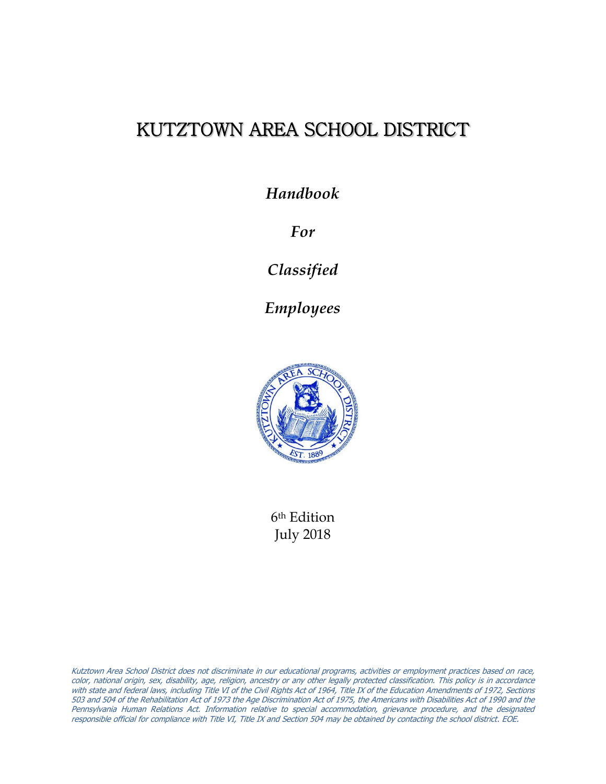# KUTZTOWN AREA SCHOOL DISTRICT

*Handbook*

*For*

*Classified*

*Employees*



6th Edition July 2018

Kutztown Area School District does not discriminate in our educational programs, activities or employment practices based on race, color, national origin, sex, disability, age, religion, ancestry or any other legally protected classification. This policy is in accordance with state and federal laws, including Title VI of the Civil Rights Act of 1964, Title IX of the Education Amendments of 1972, Sections 503 and 504 of the Rehabilitation Act of 1973 the Age Discrimination Act of 1975, the Americans with Disabilities Act of 1990 and the Pennsylvania Human Relations Act. Information relative to special accommodation, grievance procedure, and the designated responsible official for compliance with Title VI, Title IX and Section 504 may be obtained by contacting the school district. EOE.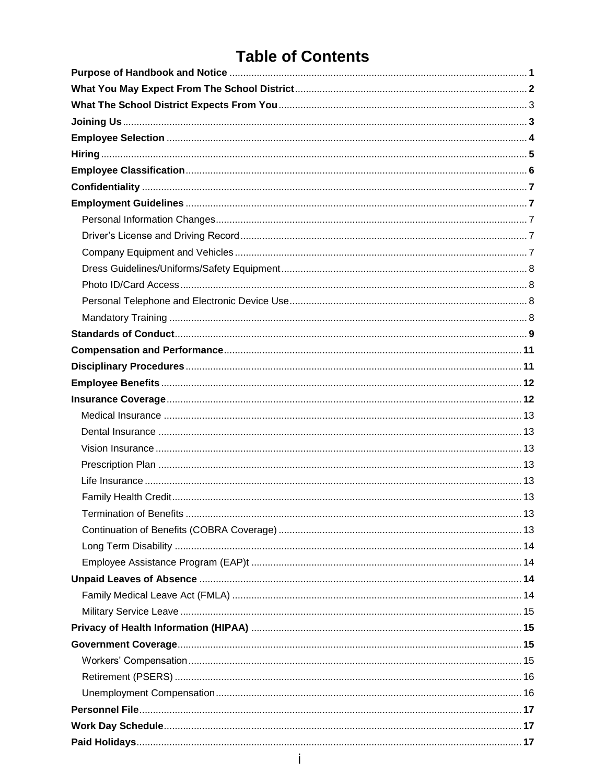# **Table of Contents**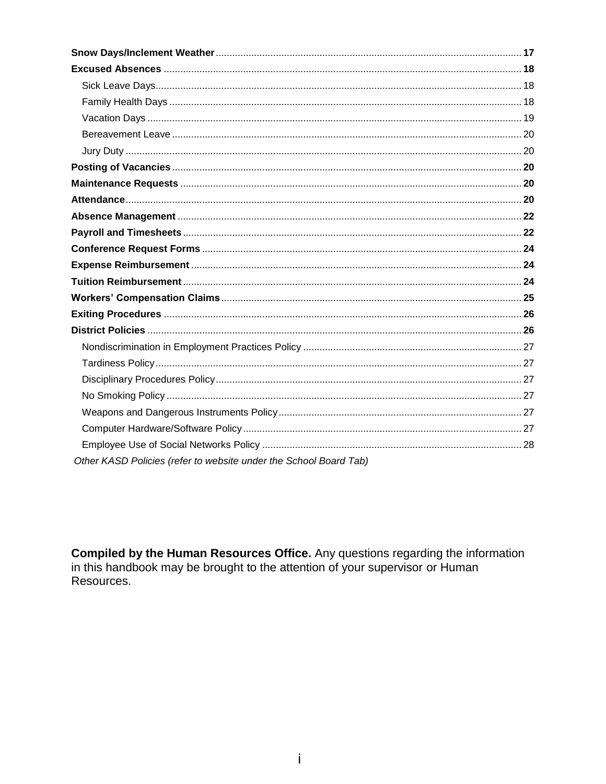| Other KASD Policies (refer to website under the School Board Tab) |
|-------------------------------------------------------------------|

**Compiled by the Human Resources Office.** Any questions regarding the information in this handbook may be brought to the attention of your supervisor or Human Resources.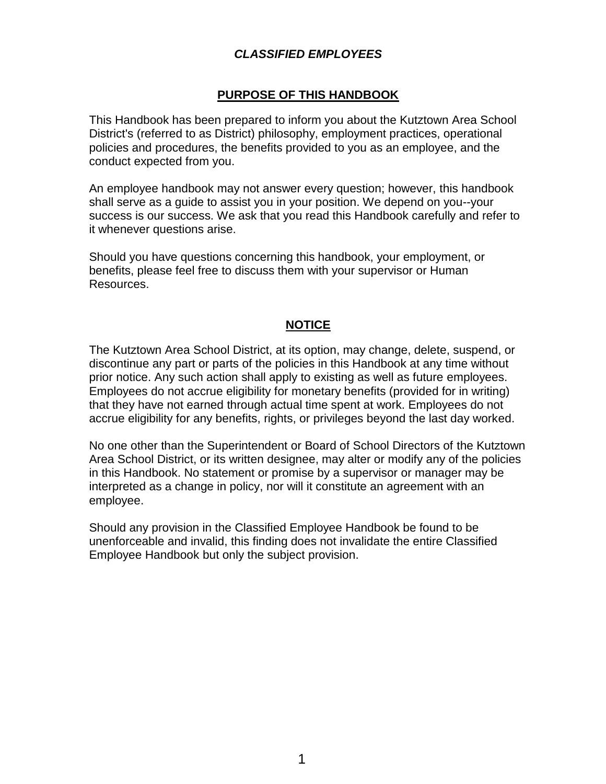# *CLASSIFIED EMPLOYEES*

# **PURPOSE OF THIS HANDBOOK**

This Handbook has been prepared to inform you about the Kutztown Area School District's (referred to as District) philosophy, employment practices, operational policies and procedures, the benefits provided to you as an employee, and the conduct expected from you.

An employee handbook may not answer every question; however, this handbook shall serve as a guide to assist you in your position. We depend on you--your success is our success. We ask that you read this Handbook carefully and refer to it whenever questions arise.

Should you have questions concerning this handbook, your employment, or benefits, please feel free to discuss them with your supervisor or Human Resources.

### **NOTICE**

The Kutztown Area School District, at its option, may change, delete, suspend, or discontinue any part or parts of the policies in this Handbook at any time without prior notice. Any such action shall apply to existing as well as future employees. Employees do not accrue eligibility for monetary benefits (provided for in writing) that they have not earned through actual time spent at work. Employees do not accrue eligibility for any benefits, rights, or privileges beyond the last day worked.

No one other than the Superintendent or Board of School Directors of the Kutztown Area School District, or its written designee, may alter or modify any of the policies in this Handbook. No statement or promise by a supervisor or manager may be interpreted as a change in policy, nor will it constitute an agreement with an employee.

Should any provision in the Classified Employee Handbook be found to be unenforceable and invalid, this finding does not invalidate the entire Classified Employee Handbook but only the subject provision.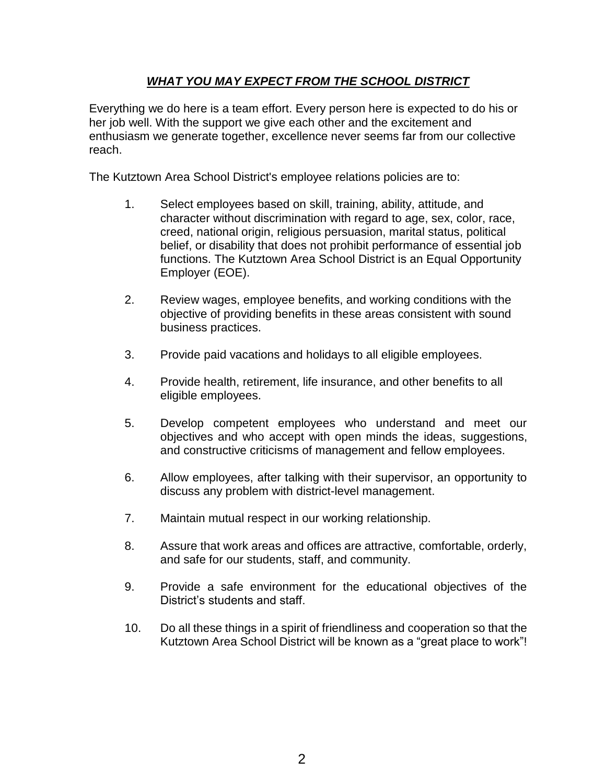# *WHAT YOU MAY EXPECT FROM THE SCHOOL DISTRICT*

Everything we do here is a team effort. Every person here is expected to do his or her job well. With the support we give each other and the excitement and enthusiasm we generate together, excellence never seems far from our collective reach.

The Kutztown Area School District's employee relations policies are to:

- 1. Select employees based on skill, training, ability, attitude, and character without discrimination with regard to age, sex, color, race, creed, national origin, religious persuasion, marital status, political belief, or disability that does not prohibit performance of essential job functions. The Kutztown Area School District is an Equal Opportunity Employer (EOE).
- 2. Review wages, employee benefits, and working conditions with the objective of providing benefits in these areas consistent with sound business practices.
- 3. Provide paid vacations and holidays to all eligible employees.
- 4. Provide health, retirement, life insurance, and other benefits to all eligible employees.
- 5. Develop competent employees who understand and meet our objectives and who accept with open minds the ideas, suggestions, and constructive criticisms of management and fellow employees.
- 6. Allow employees, after talking with their supervisor, an opportunity to discuss any problem with district-level management.
- 7. Maintain mutual respect in our working relationship.
- 8. Assure that work areas and offices are attractive, comfortable, orderly, and safe for our students, staff, and community.
- 9. Provide a safe environment for the educational objectives of the District's students and staff.
- 10. Do all these things in a spirit of friendliness and cooperation so that the Kutztown Area School District will be known as a "great place to work"!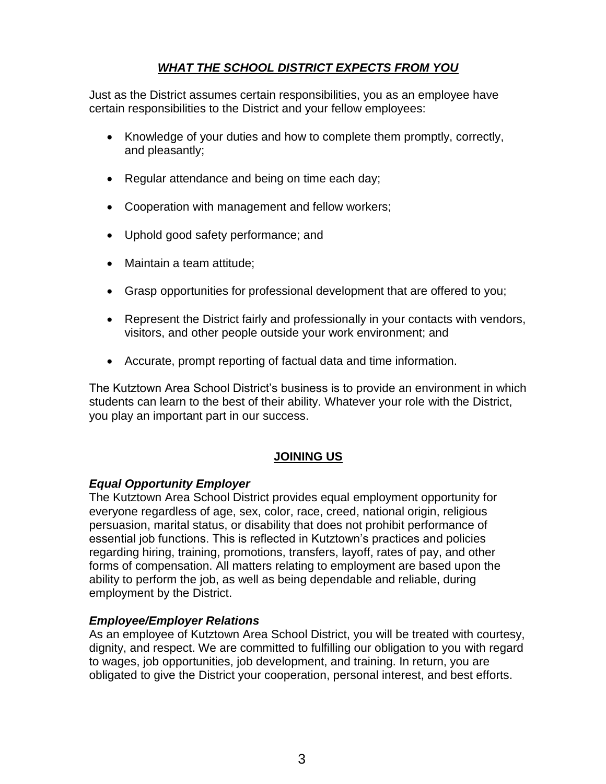# *WHAT THE SCHOOL DISTRICT EXPECTS FROM YOU*

Just as the District assumes certain responsibilities, you as an employee have certain responsibilities to the District and your fellow employees:

- Knowledge of your duties and how to complete them promptly, correctly, and pleasantly;
- Regular attendance and being on time each day;
- Cooperation with management and fellow workers;
- Uphold good safety performance; and
- Maintain a team attitude;
- Grasp opportunities for professional development that are offered to you;
- Represent the District fairly and professionally in your contacts with vendors, visitors, and other people outside your work environment; and
- Accurate, prompt reporting of factual data and time information.

The Kutztown Area School District's business is to provide an environment in which students can learn to the best of their ability. Whatever your role with the District, you play an important part in our success.

### **JOINING US**

### *Equal Opportunity Employer*

The Kutztown Area School District provides equal employment opportunity for everyone regardless of age, sex, color, race, creed, national origin, religious persuasion, marital status, or disability that does not prohibit performance of essential job functions. This is reflected in Kutztown's practices and policies regarding hiring, training, promotions, transfers, layoff, rates of pay, and other forms of compensation. All matters relating to employment are based upon the ability to perform the job, as well as being dependable and reliable, during employment by the District.

### *Employee/Employer Relations*

As an employee of Kutztown Area School District, you will be treated with courtesy, dignity, and respect. We are committed to fulfilling our obligation to you with regard to wages, job opportunities, job development, and training. In return, you are obligated to give the District your cooperation, personal interest, and best efforts.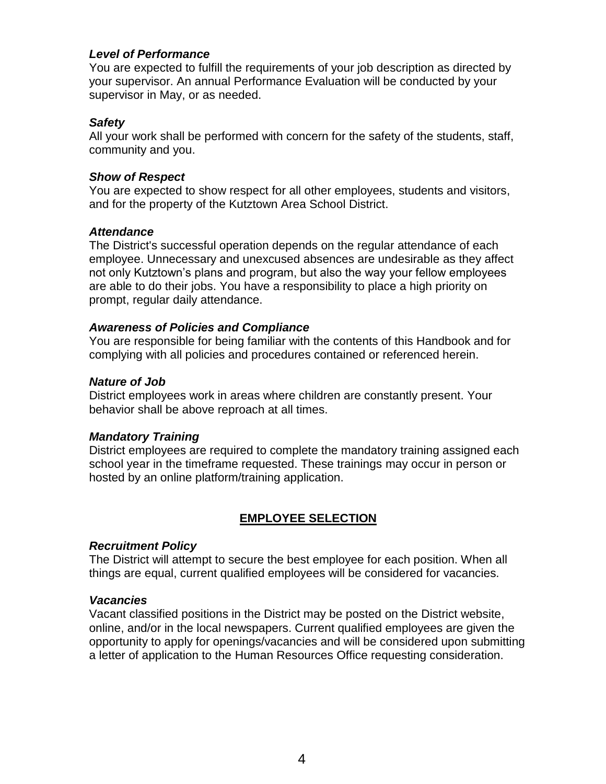### *Level of Performance*

You are expected to fulfill the requirements of your job description as directed by your supervisor. An annual Performance Evaluation will be conducted by your supervisor in May, or as needed.

## *Safety*

All your work shall be performed with concern for the safety of the students, staff, community and you.

# *Show of Respect*

You are expected to show respect for all other employees, students and visitors, and for the property of the Kutztown Area School District.

# *Attendance*

The District's successful operation depends on the regular attendance of each employee. Unnecessary and unexcused absences are undesirable as they affect not only Kutztown's plans and program, but also the way your fellow employees are able to do their jobs. You have a responsibility to place a high priority on prompt, regular daily attendance.

# *Awareness of Policies and Compliance*

You are responsible for being familiar with the contents of this Handbook and for complying with all policies and procedures contained or referenced herein.

# *Nature of Job*

District employees work in areas where children are constantly present. Your behavior shall be above reproach at all times.

# *Mandatory Training*

District employees are required to complete the mandatory training assigned each school year in the timeframe requested. These trainings may occur in person or hosted by an online platform/training application.

# **EMPLOYEE SELECTION**

### *Recruitment Policy*

The District will attempt to secure the best employee for each position. When all things are equal, current qualified employees will be considered for vacancies.

### *Vacancies*

Vacant classified positions in the District may be posted on the District website, online, and/or in the local newspapers. Current qualified employees are given the opportunity to apply for openings/vacancies and will be considered upon submitting a letter of application to the Human Resources Office requesting consideration.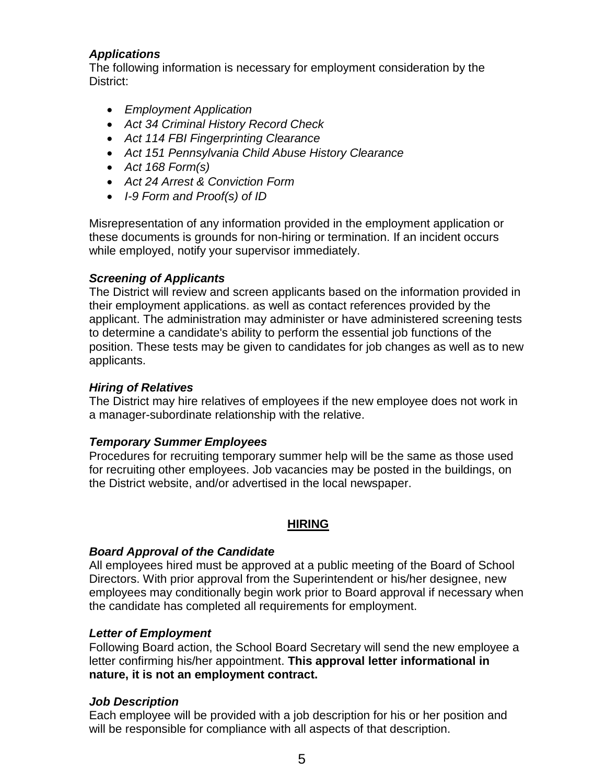# *Applications*

The following information is necessary for employment consideration by the District:

- *Employment Application*
- *Act 34 Criminal History Record Check*
- *Act 114 FBI Fingerprinting Clearance*
- *Act 151 Pennsylvania Child Abuse History Clearance*
- *Act 168 Form(s)*
- *Act 24 Arrest & Conviction Form*
- *I-9 Form and Proof(s) of ID*

Misrepresentation of any information provided in the employment application or these documents is grounds for non-hiring or termination. If an incident occurs while employed, notify your supervisor immediately.

### *Screening of Applicants*

The District will review and screen applicants based on the information provided in their employment applications. as well as contact references provided by the applicant. The administration may administer or have administered screening tests to determine a candidate's ability to perform the essential job functions of the position. These tests may be given to candidates for job changes as well as to new applicants.

# *Hiring of Relatives*

The District may hire relatives of employees if the new employee does not work in a manager-subordinate relationship with the relative.

### *Temporary Summer Employees*

Procedures for recruiting temporary summer help will be the same as those used for recruiting other employees. Job vacancies may be posted in the buildings, on the District website, and/or advertised in the local newspaper.

### **HIRING**

# *Board Approval of the Candidate*

All employees hired must be approved at a public meeting of the Board of School Directors. With prior approval from the Superintendent or his/her designee, new employees may conditionally begin work prior to Board approval if necessary when the candidate has completed all requirements for employment.

### *Letter of Employment*

Following Board action, the School Board Secretary will send the new employee a letter confirming his/her appointment. **This approval letter informational in nature, it is not an employment contract.**

### *Job Description*

Each employee will be provided with a job description for his or her position and will be responsible for compliance with all aspects of that description.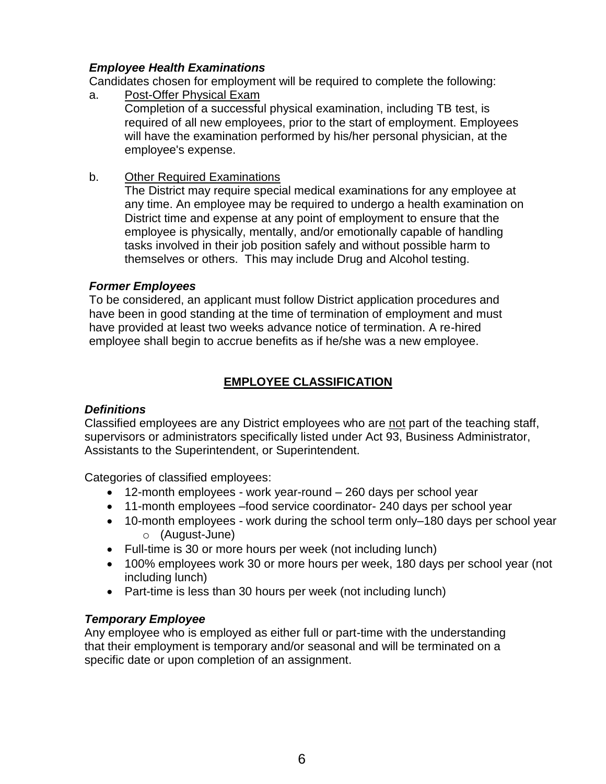# *Employee Health Examinations*

Candidates chosen for employment will be required to complete the following:

- a. Post-Offer Physical Exam Completion of a successful physical examination, including TB test, is required of all new employees, prior to the start of employment. Employees will have the examination performed by his/her personal physician, at the employee's expense.
- b. Other Required Examinations

The District may require special medical examinations for any employee at any time. An employee may be required to undergo a health examination on District time and expense at any point of employment to ensure that the employee is physically, mentally, and/or emotionally capable of handling tasks involved in their job position safely and without possible harm to themselves or others. This may include Drug and Alcohol testing.

### *Former Employees*

To be considered, an applicant must follow District application procedures and have been in good standing at the time of termination of employment and must have provided at least two weeks advance notice of termination. A re-hired employee shall begin to accrue benefits as if he/she was a new employee.

# **EMPLOYEE CLASSIFICATION**

### *Definitions*

Classified employees are any District employees who are not part of the teaching staff, supervisors or administrators specifically listed under Act 93, Business Administrator, Assistants to the Superintendent, or Superintendent.

Categories of classified employees:

- 12-month employees work year-round 260 days per school year
- 11-month employees –food service coordinator- 240 days per school year
- 10-month employees work during the school term only–180 days per school year o (August-June)
- Full-time is 30 or more hours per week (not including lunch)
- 100% employees work 30 or more hours per week, 180 days per school year (not including lunch)
- Part-time is less than 30 hours per week (not including lunch)

### *Temporary Employee*

Any employee who is employed as either full or part-time with the understanding that their employment is temporary and/or seasonal and will be terminated on a specific date or upon completion of an assignment.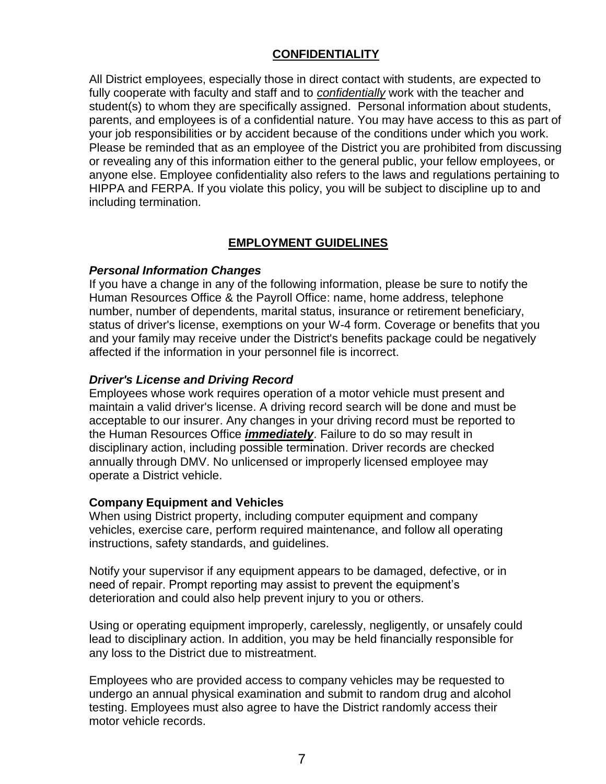# **CONFIDENTIALITY**

All District employees, especially those in direct contact with students, are expected to fully cooperate with faculty and staff and to *confidentially* work with the teacher and student(s) to whom they are specifically assigned. Personal information about students, parents, and employees is of a confidential nature. You may have access to this as part of your job responsibilities or by accident because of the conditions under which you work. Please be reminded that as an employee of the District you are prohibited from discussing or revealing any of this information either to the general public, your fellow employees, or anyone else. Employee confidentiality also refers to the laws and regulations pertaining to HIPPA and FERPA. If you violate this policy, you will be subject to discipline up to and including termination.

# **EMPLOYMENT GUIDELINES**

#### *Personal Information Changes*

If you have a change in any of the following information, please be sure to notify the Human Resources Office & the Payroll Office: name, home address, telephone number, number of dependents, marital status, insurance or retirement beneficiary, status of driver's license, exemptions on your W-4 form. Coverage or benefits that you and your family may receive under the District's benefits package could be negatively affected if the information in your personnel file is incorrect.

#### *Driver's License and Driving Record*

Employees whose work requires operation of a motor vehicle must present and maintain a valid driver's license. A driving record search will be done and must be acceptable to our insurer. Any changes in your driving record must be reported to the Human Resources Office *immediately*. Failure to do so may result in disciplinary action, including possible termination. Driver records are checked annually through DMV. No unlicensed or improperly licensed employee may operate a District vehicle.

### **Company Equipment and Vehicles**

When using District property, including computer equipment and company vehicles, exercise care, perform required maintenance, and follow all operating instructions, safety standards, and guidelines.

Notify your supervisor if any equipment appears to be damaged, defective, or in need of repair. Prompt reporting may assist to prevent the equipment's deterioration and could also help prevent injury to you or others.

Using or operating equipment improperly, carelessly, negligently, or unsafely could lead to disciplinary action. In addition, you may be held financially responsible for any loss to the District due to mistreatment.

Employees who are provided access to company vehicles may be requested to undergo an annual physical examination and submit to random drug and alcohol testing. Employees must also agree to have the District randomly access their motor vehicle records.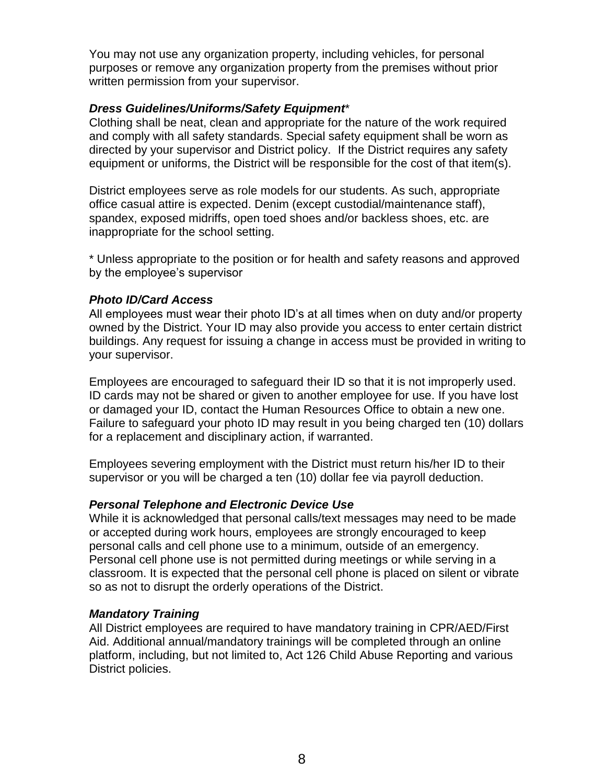You may not use any organization property, including vehicles, for personal purposes or remove any organization property from the premises without prior written permission from your supervisor.

### *Dress Guidelines/Uniforms/Safety Equipment*\*

Clothing shall be neat, clean and appropriate for the nature of the work required and comply with all safety standards. Special safety equipment shall be worn as directed by your supervisor and District policy. If the District requires any safety equipment or uniforms, the District will be responsible for the cost of that item(s).

District employees serve as role models for our students. As such, appropriate office casual attire is expected. Denim (except custodial/maintenance staff), spandex, exposed midriffs, open toed shoes and/or backless shoes, etc. are inappropriate for the school setting.

\* Unless appropriate to the position or for health and safety reasons and approved by the employee's supervisor

#### *Photo ID/Card Access*

All employees must wear their photo ID's at all times when on duty and/or property owned by the District. Your ID may also provide you access to enter certain district buildings. Any request for issuing a change in access must be provided in writing to your supervisor.

Employees are encouraged to safeguard their ID so that it is not improperly used. ID cards may not be shared or given to another employee for use. If you have lost or damaged your ID, contact the Human Resources Office to obtain a new one. Failure to safeguard your photo ID may result in you being charged ten (10) dollars for a replacement and disciplinary action, if warranted.

Employees severing employment with the District must return his/her ID to their supervisor or you will be charged a ten (10) dollar fee via payroll deduction.

### *Personal Telephone and Electronic Device Use*

While it is acknowledged that personal calls/text messages may need to be made or accepted during work hours, employees are strongly encouraged to keep personal calls and cell phone use to a minimum, outside of an emergency. Personal cell phone use is not permitted during meetings or while serving in a classroom. It is expected that the personal cell phone is placed on silent or vibrate so as not to disrupt the orderly operations of the District.

### *Mandatory Training*

All District employees are required to have mandatory training in CPR/AED/First Aid. Additional annual/mandatory trainings will be completed through an online platform, including, but not limited to, Act 126 Child Abuse Reporting and various District policies.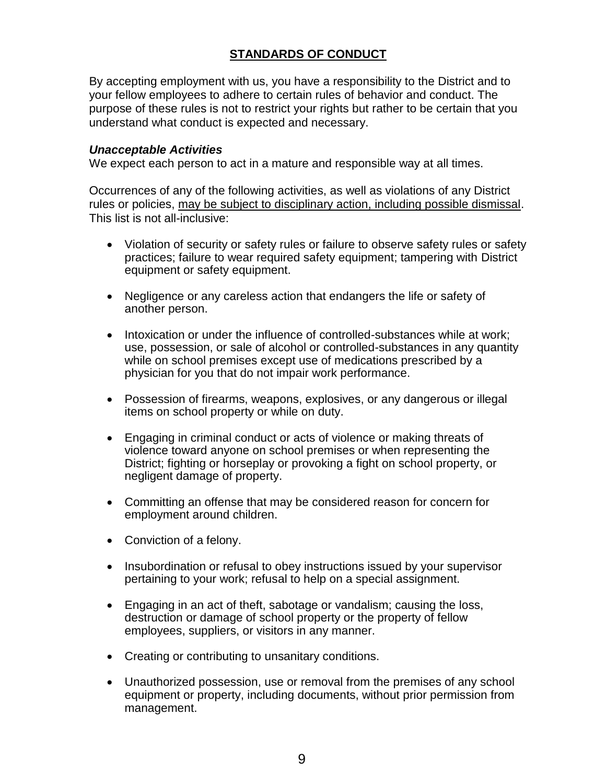# **STANDARDS OF CONDUCT**

By accepting employment with us, you have a responsibility to the District and to your fellow employees to adhere to certain rules of behavior and conduct. The purpose of these rules is not to restrict your rights but rather to be certain that you understand what conduct is expected and necessary.

#### *Unacceptable Activities*

We expect each person to act in a mature and responsible way at all times.

Occurrences of any of the following activities, as well as violations of any District rules or policies, may be subject to disciplinary action, including possible dismissal. This list is not all-inclusive:

- Violation of security or safety rules or failure to observe safety rules or safety practices; failure to wear required safety equipment; tampering with District equipment or safety equipment.
- Negligence or any careless action that endangers the life or safety of another person.
- Intoxication or under the influence of controlled-substances while at work; use, possession, or sale of alcohol or controlled-substances in any quantity while on school premises except use of medications prescribed by a physician for you that do not impair work performance.
- Possession of firearms, weapons, explosives, or any dangerous or illegal items on school property or while on duty.
- Engaging in criminal conduct or acts of violence or making threats of violence toward anyone on school premises or when representing the District; fighting or horseplay or provoking a fight on school property, or negligent damage of property.
- Committing an offense that may be considered reason for concern for employment around children.
- Conviction of a felony.
- Insubordination or refusal to obey instructions issued by your supervisor pertaining to your work; refusal to help on a special assignment.
- Engaging in an act of theft, sabotage or vandalism; causing the loss, destruction or damage of school property or the property of fellow employees, suppliers, or visitors in any manner.
- Creating or contributing to unsanitary conditions.
- Unauthorized possession, use or removal from the premises of any school equipment or property, including documents, without prior permission from management.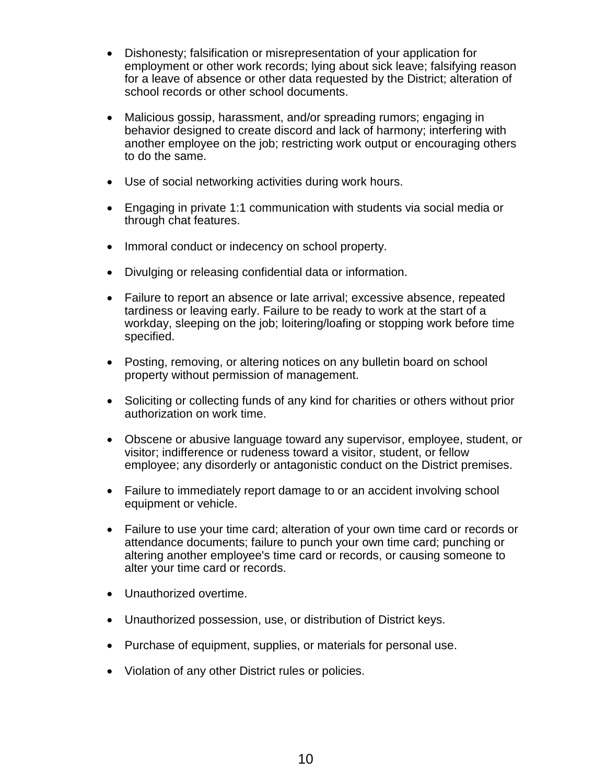- Dishonesty; falsification or misrepresentation of your application for employment or other work records; lying about sick leave; falsifying reason for a leave of absence or other data requested by the District; alteration of school records or other school documents.
- Malicious gossip, harassment, and/or spreading rumors; engaging in behavior designed to create discord and lack of harmony; interfering with another employee on the job; restricting work output or encouraging others to do the same.
- Use of social networking activities during work hours.
- Engaging in private 1:1 communication with students via social media or through chat features.
- Immoral conduct or indecency on school property.
- Divulging or releasing confidential data or information.
- Failure to report an absence or late arrival; excessive absence, repeated tardiness or leaving early. Failure to be ready to work at the start of a workday, sleeping on the job; loitering/loafing or stopping work before time specified.
- Posting, removing, or altering notices on any bulletin board on school property without permission of management.
- Soliciting or collecting funds of any kind for charities or others without prior authorization on work time.
- Obscene or abusive language toward any supervisor, employee, student, or visitor; indifference or rudeness toward a visitor, student, or fellow employee; any disorderly or antagonistic conduct on the District premises.
- Failure to immediately report damage to or an accident involving school equipment or vehicle.
- Failure to use your time card; alteration of your own time card or records or attendance documents; failure to punch your own time card; punching or altering another employee's time card or records, or causing someone to alter your time card or records.
- Unauthorized overtime.
- Unauthorized possession, use, or distribution of District keys.
- Purchase of equipment, supplies, or materials for personal use.
- Violation of any other District rules or policies.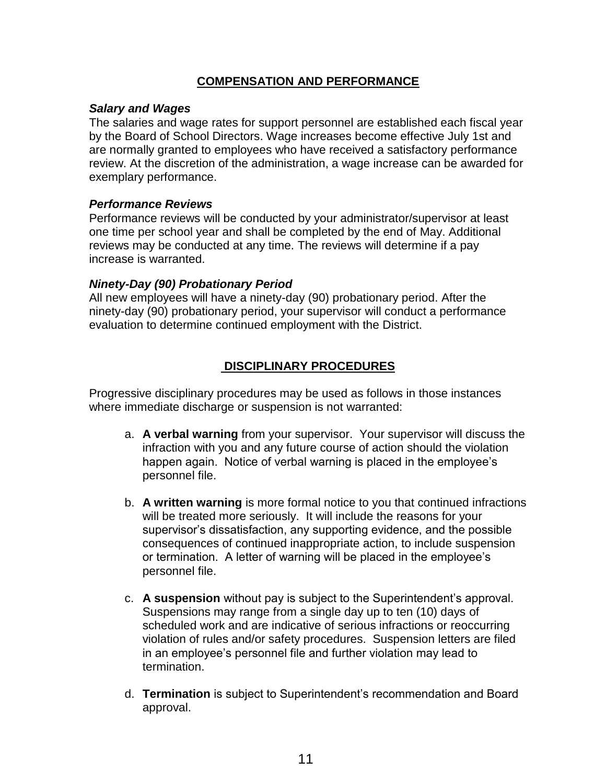# **COMPENSATION AND PERFORMANCE**

### *Salary and Wages*

The salaries and wage rates for support personnel are established each fiscal year by the Board of School Directors. Wage increases become effective July 1st and are normally granted to employees who have received a satisfactory performance review. At the discretion of the administration, a wage increase can be awarded for exemplary performance.

# *Performance Reviews*

Performance reviews will be conducted by your administrator/supervisor at least one time per school year and shall be completed by the end of May. Additional reviews may be conducted at any time. The reviews will determine if a pay increase is warranted.

# *Ninety-Day (90) Probationary Period*

All new employees will have a ninety-day (90) probationary period. After the ninety-day (90) probationary period, your supervisor will conduct a performance evaluation to determine continued employment with the District.

# **DISCIPLINARY PROCEDURES**

Progressive disciplinary procedures may be used as follows in those instances where immediate discharge or suspension is not warranted:

- a. **A verbal warning** from your supervisor. Your supervisor will discuss the infraction with you and any future course of action should the violation happen again. Notice of verbal warning is placed in the employee's personnel file.
- b. **A written warning** is more formal notice to you that continued infractions will be treated more seriously. It will include the reasons for your supervisor's dissatisfaction, any supporting evidence, and the possible consequences of continued inappropriate action, to include suspension or termination. A letter of warning will be placed in the employee's personnel file.
- c. **A suspension** without pay is subject to the Superintendent's approval. Suspensions may range from a single day up to ten (10) days of scheduled work and are indicative of serious infractions or reoccurring violation of rules and/or safety procedures. Suspension letters are filed in an employee's personnel file and further violation may lead to termination.
- d. **Termination** is subject to Superintendent's recommendation and Board approval.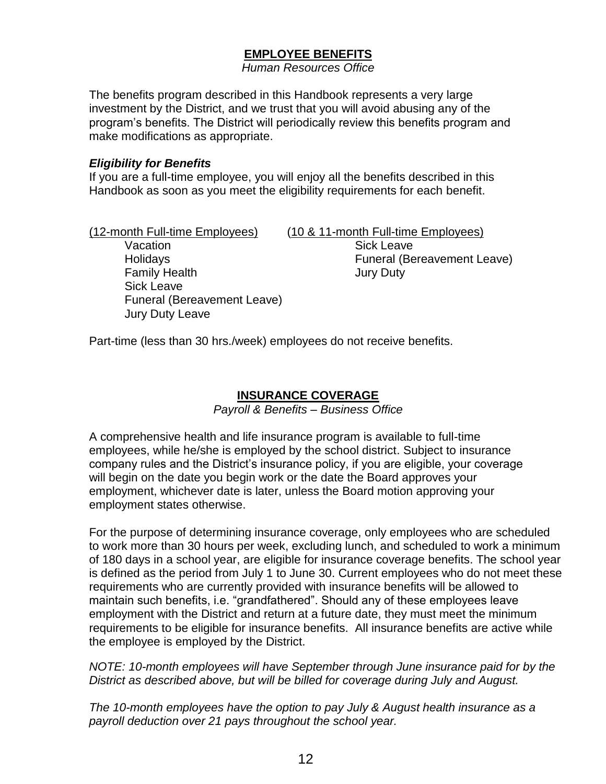# **EMPLOYEE BENEFITS**

*Human Resources Office*

The benefits program described in this Handbook represents a very large investment by the District, and we trust that you will avoid abusing any of the program's benefits. The District will periodically review this benefits program and make modifications as appropriate.

#### *Eligibility for Benefits*

If you are a full-time employee, you will enjoy all the benefits described in this Handbook as soon as you meet the eligibility requirements for each benefit.

| (10 & 11-month Full-time Employees) |
|-------------------------------------|
| <b>Sick Leave</b>                   |
| <b>Funeral (Bereavement Leave)</b>  |
| <b>Jury Duty</b>                    |
|                                     |
|                                     |
|                                     |
| <b>Funeral (Bereavement Leave)</b>  |

Part-time (less than 30 hrs./week) employees do not receive benefits.

## **INSURANCE COVERAGE**

*Payroll & Benefits – Business Office*

A comprehensive health and life insurance program is available to full-time employees, while he/she is employed by the school district. Subject to insurance company rules and the District's insurance policy, if you are eligible, your coverage will begin on the date you begin work or the date the Board approves your employment, whichever date is later, unless the Board motion approving your employment states otherwise.

For the purpose of determining insurance coverage, only employees who are scheduled to work more than 30 hours per week, excluding lunch, and scheduled to work a minimum of 180 days in a school year, are eligible for insurance coverage benefits. The school year is defined as the period from July 1 to June 30. Current employees who do not meet these requirements who are currently provided with insurance benefits will be allowed to maintain such benefits, i.e. "grandfathered". Should any of these employees leave employment with the District and return at a future date, they must meet the minimum requirements to be eligible for insurance benefits. All insurance benefits are active while the employee is employed by the District.

*NOTE: 10-month employees will have September through June insurance paid for by the District as described above, but will be billed for coverage during July and August.* 

*The 10-month employees have the option to pay July & August health insurance as a payroll deduction over 21 pays throughout the school year.*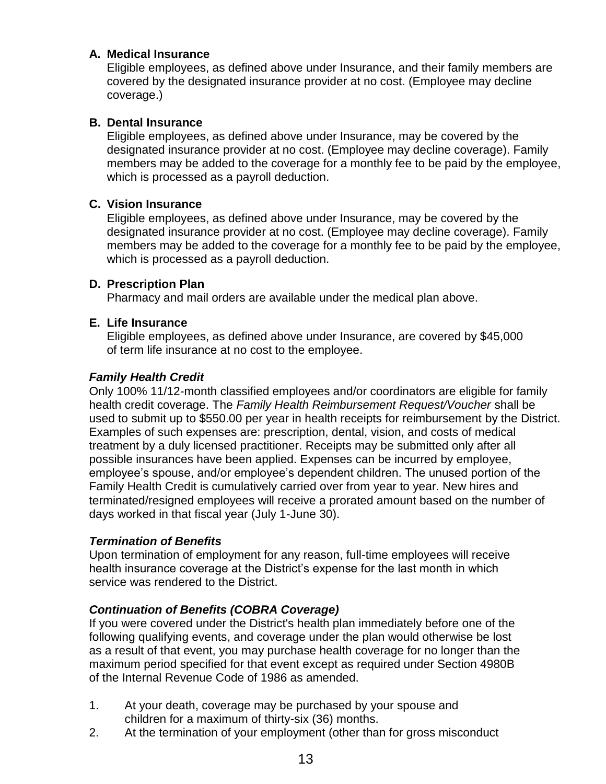# **A. Medical Insurance**

Eligible employees, as defined above under Insurance, and their family members are covered by the designated insurance provider at no cost. (Employee may decline coverage.)

# **B. Dental Insurance**

Eligible employees, as defined above under Insurance, may be covered by the designated insurance provider at no cost. (Employee may decline coverage). Family members may be added to the coverage for a monthly fee to be paid by the employee, which is processed as a payroll deduction.

# **C. Vision Insurance**

Eligible employees, as defined above under Insurance, may be covered by the designated insurance provider at no cost. (Employee may decline coverage). Family members may be added to the coverage for a monthly fee to be paid by the employee, which is processed as a payroll deduction.

### **D. Prescription Plan**

Pharmacy and mail orders are available under the medical plan above.

# **E. Life Insurance**

Eligible employees, as defined above under Insurance, are covered by \$45,000 of term life insurance at no cost to the employee.

### *Family Health Credit*

Only 100% 11/12-month classified employees and/or coordinators are eligible for family health credit coverage. The *Family Health Reimbursement Request/Voucher* shall be used to submit up to \$550.00 per year in health receipts for reimbursement by the District. Examples of such expenses are: prescription, dental, vision, and costs of medical treatment by a duly licensed practitioner. Receipts may be submitted only after all possible insurances have been applied. Expenses can be incurred by employee, employee's spouse, and/or employee's dependent children. The unused portion of the Family Health Credit is cumulatively carried over from year to year. New hires and terminated/resigned employees will receive a prorated amount based on the number of days worked in that fiscal year (July 1-June 30).

### *Termination of Benefits*

Upon termination of employment for any reason, full-time employees will receive health insurance coverage at the District's expense for the last month in which service was rendered to the District.

# *Continuation of Benefits (COBRA Coverage)*

If you were covered under the District's health plan immediately before one of the following qualifying events, and coverage under the plan would otherwise be lost as a result of that event, you may purchase health coverage for no longer than the maximum period specified for that event except as required under Section 4980B of the Internal Revenue Code of 1986 as amended.

- 1. At your death, coverage may be purchased by your spouse and children for a maximum of thirty-six (36) months.
- 2. At the termination of your employment (other than for gross misconduct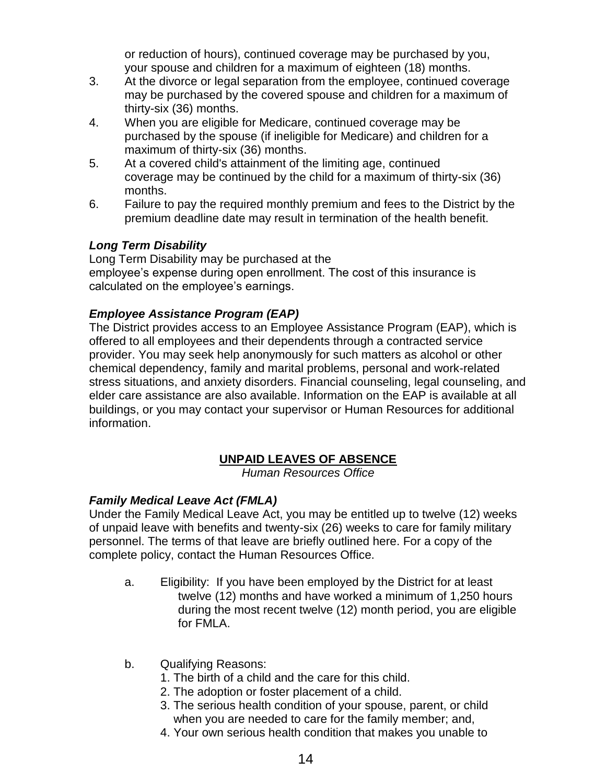or reduction of hours), continued coverage may be purchased by you, your spouse and children for a maximum of eighteen (18) months.

- 3. At the divorce or legal separation from the employee, continued coverage may be purchased by the covered spouse and children for a maximum of thirty-six (36) months.
- 4. When you are eligible for Medicare, continued coverage may be purchased by the spouse (if ineligible for Medicare) and children for a maximum of thirty-six (36) months.
- 5. At a covered child's attainment of the limiting age, continued coverage may be continued by the child for a maximum of thirty-six (36) months.
- 6. Failure to pay the required monthly premium and fees to the District by the premium deadline date may result in termination of the health benefit.

# *Long Term Disability*

Long Term Disability may be purchased at the employee's expense during open enrollment. The cost of this insurance is calculated on the employee's earnings.

# *Employee Assistance Program (EAP)*

The District provides access to an Employee Assistance Program (EAP), which is offered to all employees and their dependents through a contracted service provider. You may seek help anonymously for such matters as alcohol or other chemical dependency, family and marital problems, personal and work-related stress situations, and anxiety disorders. Financial counseling, legal counseling, and elder care assistance are also available. Information on the EAP is available at all buildings, or you may contact your supervisor or Human Resources for additional information.

# **UNPAID LEAVES OF ABSENCE**

*Human Resources Office*

# *Family Medical Leave Act (FMLA)*

Under the Family Medical Leave Act, you may be entitled up to twelve (12) weeks of unpaid leave with benefits and twenty-six (26) weeks to care for family military personnel. The terms of that leave are briefly outlined here. For a copy of the complete policy, contact the Human Resources Office.

- a. Eligibility: If you have been employed by the District for at least twelve (12) months and have worked a minimum of 1,250 hours during the most recent twelve (12) month period, you are eligible for FMLA.
- b. Qualifying Reasons:
	- 1. The birth of a child and the care for this child.
	- 2. The adoption or foster placement of a child.
	- 3. The serious health condition of your spouse, parent, or child when you are needed to care for the family member; and,
	- 4. Your own serious health condition that makes you unable to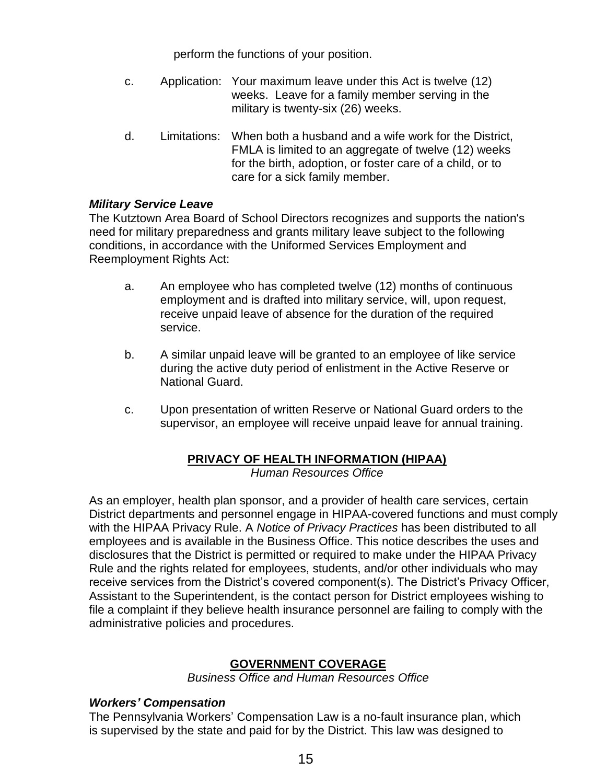perform the functions of your position.

- c. Application: Your maximum leave under this Act is twelve (12) weeks. Leave for a family member serving in the military is twenty-six (26) weeks.
- d. Limitations: When both a husband and a wife work for the District, FMLA is limited to an aggregate of twelve (12) weeks for the birth, adoption, or foster care of a child, or to care for a sick family member.

#### *Military Service Leave*

The Kutztown Area Board of School Directors recognizes and supports the nation's need for military preparedness and grants military leave subject to the following conditions, in accordance with the Uniformed Services Employment and Reemployment Rights Act:

- a. An employee who has completed twelve (12) months of continuous employment and is drafted into military service, will, upon request, receive unpaid leave of absence for the duration of the required service.
- b. A similar unpaid leave will be granted to an employee of like service during the active duty period of enlistment in the Active Reserve or National Guard.
- c. Upon presentation of written Reserve or National Guard orders to the supervisor, an employee will receive unpaid leave for annual training.

# **PRIVACY OF HEALTH INFORMATION (HIPAA)**

*Human Resources Office*

As an employer, health plan sponsor, and a provider of health care services, certain District departments and personnel engage in HIPAA-covered functions and must comply with the HIPAA Privacy Rule. A *Notice of Privacy Practices* has been distributed to all employees and is available in the Business Office. This notice describes the uses and disclosures that the District is permitted or required to make under the HIPAA Privacy Rule and the rights related for employees, students, and/or other individuals who may receive services from the District's covered component(s). The District's Privacy Officer, Assistant to the Superintendent, is the contact person for District employees wishing to file a complaint if they believe health insurance personnel are failing to comply with the administrative policies and procedures.

# **GOVERNMENT COVERAGE**

*Business Office and Human Resources Office*

#### *Workers' Compensation*

The Pennsylvania Workers' Compensation Law is a no-fault insurance plan, which is supervised by the state and paid for by the District. This law was designed to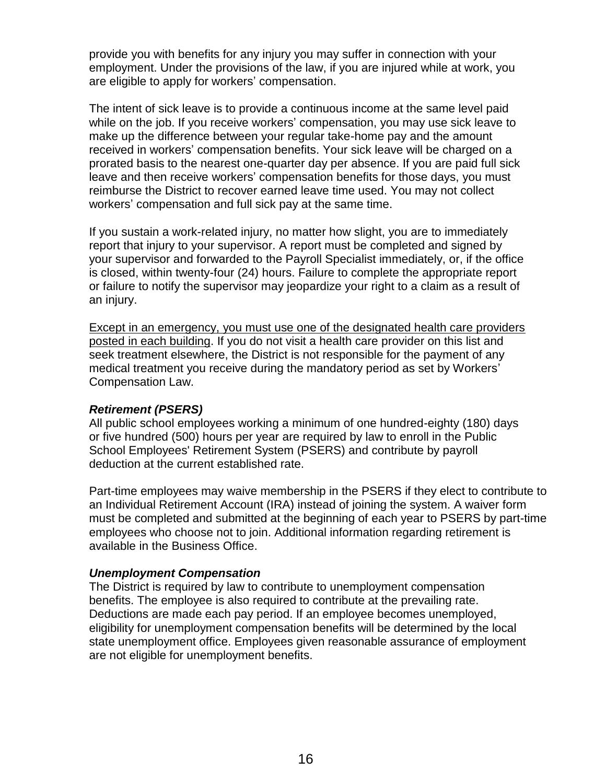provide you with benefits for any injury you may suffer in connection with your employment. Under the provisions of the law, if you are injured while at work, you are eligible to apply for workers' compensation.

The intent of sick leave is to provide a continuous income at the same level paid while on the job. If you receive workers' compensation, you may use sick leave to make up the difference between your regular take-home pay and the amount received in workers' compensation benefits. Your sick leave will be charged on a prorated basis to the nearest one-quarter day per absence. If you are paid full sick leave and then receive workers' compensation benefits for those days, you must reimburse the District to recover earned leave time used. You may not collect workers' compensation and full sick pay at the same time.

If you sustain a work-related injury, no matter how slight, you are to immediately report that injury to your supervisor. A report must be completed and signed by your supervisor and forwarded to the Payroll Specialist immediately, or, if the office is closed, within twenty-four (24) hours. Failure to complete the appropriate report or failure to notify the supervisor may jeopardize your right to a claim as a result of an injury.

Except in an emergency, you must use one of the designated health care providers posted in each building. If you do not visit a health care provider on this list and seek treatment elsewhere, the District is not responsible for the payment of any medical treatment you receive during the mandatory period as set by Workers' Compensation Law.

### *Retirement (PSERS)*

All public school employees working a minimum of one hundred-eighty (180) days or five hundred (500) hours per year are required by law to enroll in the Public School Employees' Retirement System (PSERS) and contribute by payroll deduction at the current established rate.

Part-time employees may waive membership in the PSERS if they elect to contribute to an Individual Retirement Account (IRA) instead of joining the system. A waiver form must be completed and submitted at the beginning of each year to PSERS by part-time employees who choose not to join. Additional information regarding retirement is available in the Business Office.

### *Unemployment Compensation*

The District is required by law to contribute to unemployment compensation benefits. The employee is also required to contribute at the prevailing rate. Deductions are made each pay period. If an employee becomes unemployed, eligibility for unemployment compensation benefits will be determined by the local state unemployment office. Employees given reasonable assurance of employment are not eligible for unemployment benefits.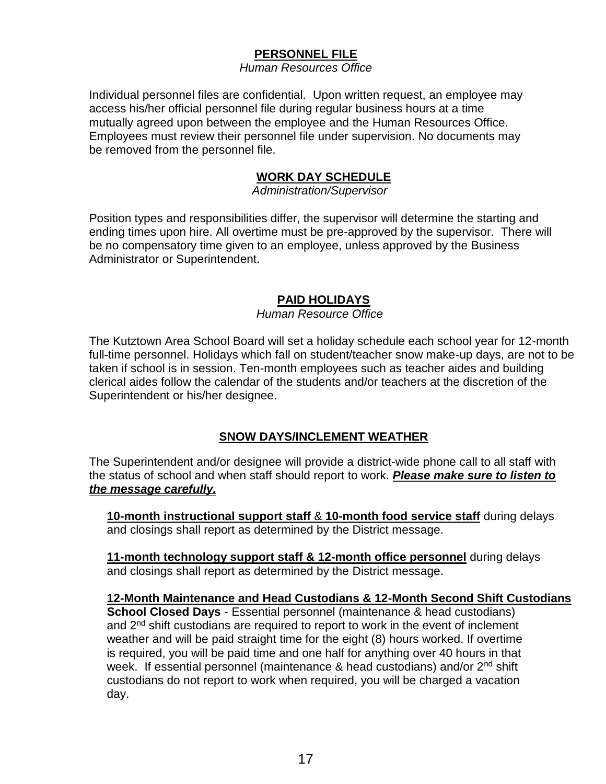# **PERSONNEL FILE**

*Human Resources Office*

Individual personnel files are confidential. Upon written request, an employee may access his/her official personnel file during regular business hours at a time mutually agreed upon between the employee and the Human Resources Office. Employees must review their personnel file under supervision. No documents may be removed from the personnel file.

# **WORK DAY SCHEDULE**

 *Administration/Supervisor*

Position types and responsibilities differ, the supervisor will determine the starting and ending times upon hire. All overtime must be pre-approved by the supervisor. There will be no compensatory time given to an employee, unless approved by the Business Administrator or Superintendent.

# **PAID HOLIDAYS**

*Human Resource Office*

The Kutztown Area School Board will set a holiday schedule each school year for 12-month full-time personnel. Holidays which fall on student/teacher snow make-up days, are not to be taken if school is in session. Ten-month employees such as teacher aides and building clerical aides follow the calendar of the students and/or teachers at the discretion of the Superintendent or his/her designee.

# **SNOW DAYS/INCLEMENT WEATHER**

The Superintendent and/or designee will provide a district-wide phone call to all staff with the status of school and when staff should report to work. *Please make sure to listen to the message carefully.*

**10-month instructional support staff** & **10-month food service staff** during delays and closings shall report as determined by the District message.

**11-month technology support staff & 12-month office personnel** during delays and closings shall report as determined by the District message.

### **12-Month Maintenance and Head Custodians & 12-Month Second Shift Custodians**

**School Closed Days** - Essential personnel (maintenance & head custodians) and 2<sup>nd</sup> shift custodians are required to report to work in the event of inclement weather and will be paid straight time for the eight (8) hours worked. If overtime is required, you will be paid time and one half for anything over 40 hours in that week. If essential personnel (maintenance & head custodians) and/or 2<sup>nd</sup> shift custodians do not report to work when required, you will be charged a vacation day.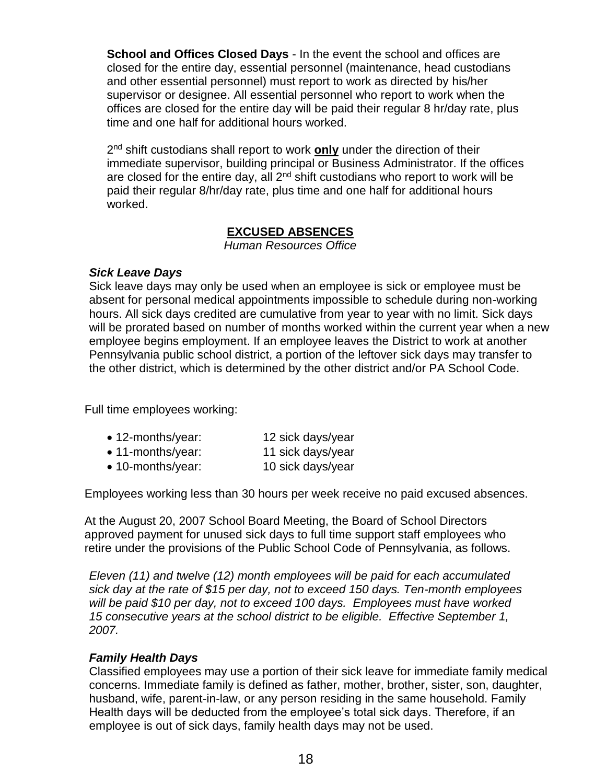**School and Offices Closed Days** - In the event the school and offices are closed for the entire day, essential personnel (maintenance, head custodians and other essential personnel) must report to work as directed by his/her supervisor or designee. All essential personnel who report to work when the offices are closed for the entire day will be paid their regular 8 hr/day rate, plus time and one half for additional hours worked.

2<sup>nd</sup> shift custodians shall report to work **only** under the direction of their immediate supervisor, building principal or Business Administrator. If the offices are closed for the entire day, all  $2<sup>nd</sup>$  shift custodians who report to work will be paid their regular 8/hr/day rate, plus time and one half for additional hours worked.

### **EXCUSED ABSENCES**

*Human Resources Office*

### *Sick Leave Days*

Sick leave days may only be used when an employee is sick or employee must be absent for personal medical appointments impossible to schedule during non-working hours. All sick days credited are cumulative from year to year with no limit. Sick days will be prorated based on number of months worked within the current year when a new employee begins employment. If an employee leaves the District to work at another Pennsylvania public school district, a portion of the leftover sick days may transfer to the other district, which is determined by the other district and/or PA School Code.

Full time employees working:

| • 12-months/year: | 12 sick days/year |
|-------------------|-------------------|
| • 11-months/year: | 11 sick days/year |
| • 10-months/year: | 10 sick days/year |

Employees working less than 30 hours per week receive no paid excused absences.

At the August 20, 2007 School Board Meeting, the Board of School Directors approved payment for unused sick days to full time support staff employees who retire under the provisions of the Public School Code of Pennsylvania, as follows.

*Eleven (11) and twelve (12) month employees will be paid for each accumulated sick day at the rate of \$15 per day, not to exceed 150 days. Ten-month employees will be paid \$10 per day, not to exceed 100 days. Employees must have worked 15 consecutive years at the school district to be eligible. Effective September 1, 2007.*

### *Family Health Days*

Classified employees may use a portion of their sick leave for immediate family medical concerns. Immediate family is defined as father, mother, brother, sister, son, daughter, husband, wife, parent-in-law, or any person residing in the same household. Family Health days will be deducted from the employee's total sick days. Therefore, if an employee is out of sick days, family health days may not be used.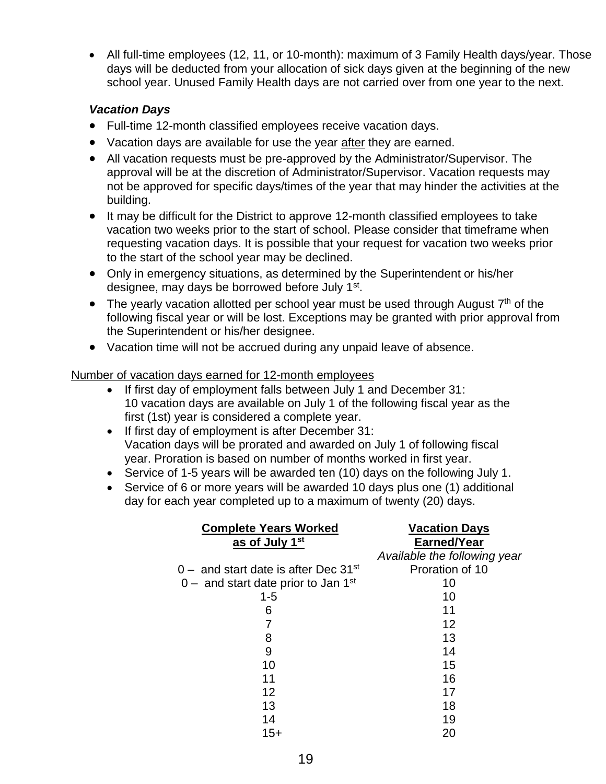• All full-time employees (12, 11, or 10-month): maximum of 3 Family Health days/year. Those days will be deducted from your allocation of sick days given at the beginning of the new school year. Unused Family Health days are not carried over from one year to the next.

# *Vacation Days*

- Full-time 12-month classified employees receive vacation days.
- Vacation days are available for use the year after they are earned.
- All vacation requests must be pre-approved by the Administrator/Supervisor. The approval will be at the discretion of Administrator/Supervisor. Vacation requests may not be approved for specific days/times of the year that may hinder the activities at the building.
- It may be difficult for the District to approve 12-month classified employees to take vacation two weeks prior to the start of school. Please consider that timeframe when requesting vacation days. It is possible that your request for vacation two weeks prior to the start of the school year may be declined.
- Only in emergency situations, as determined by the Superintendent or his/her designee, may days be borrowed before July 1<sup>st</sup>.
- The yearly vacation allotted per school year must be used through August  $7<sup>th</sup>$  of the following fiscal year or will be lost. Exceptions may be granted with prior approval from the Superintendent or his/her designee.
- Vacation time will not be accrued during any unpaid leave of absence.

Number of vacation days earned for 12-month employees

- If first day of employment falls between July 1 and December 31: 10 vacation days are available on July 1 of the following fiscal year as the first (1st) year is considered a complete year.
- If first day of employment is after December 31: Vacation days will be prorated and awarded on July 1 of following fiscal year. Proration is based on number of months worked in first year.
- Service of 1-5 years will be awarded ten (10) days on the following July 1.
- Service of 6 or more years will be awarded 10 days plus one (1) additional day for each year completed up to a maximum of twenty (20) days.

| <b>Complete Years Worked</b><br>as of July 1 <sup>st</sup> | <b>Vacation Days</b><br>Earned/Year |
|------------------------------------------------------------|-------------------------------------|
|                                                            | Available the following year        |
| 0 – and start date is after Dec 31st                       | Proration of 10                     |
| $0 -$ and start date prior to Jan 1 <sup>st</sup>          | 10                                  |
| $1 - 5$                                                    | 10                                  |
| 6                                                          | 11                                  |
|                                                            | 12                                  |
| 8                                                          | 13                                  |
| 9                                                          | 14                                  |
| 10                                                         | 15                                  |
| 11                                                         | 16                                  |
| 12                                                         | 17                                  |
| 13                                                         | 18                                  |
| 14                                                         | 19                                  |
| $15+$                                                      | 20                                  |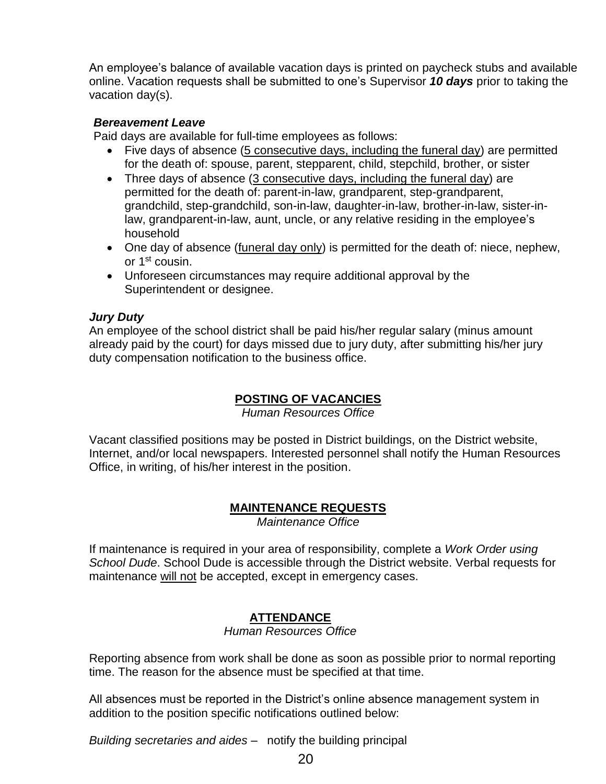An employee's balance of available vacation days is printed on paycheck stubs and available online. Vacation requests shall be submitted to one's Supervisor *10 days* prior to taking the vacation day(s).

## *Bereavement Leave*

Paid days are available for full-time employees as follows:

- Five days of absence (5 consecutive days, including the funeral day) are permitted for the death of: spouse, parent, stepparent, child, stepchild, brother, or sister
- Three days of absence  $(3 \text{ consecutive days}, \text{ including the {~~}tuneral day})$  are permitted for the death of: parent-in-law, grandparent, step-grandparent, grandchild, step-grandchild, son-in-law, daughter-in-law, brother-in-law, sister-inlaw, grandparent-in-law, aunt, uncle, or any relative residing in the employee's household
- One day of absence (funeral day only) is permitted for the death of: niece, nephew, or 1<sup>st</sup> cousin.
- Unforeseen circumstances may require additional approval by the Superintendent or designee.

# *Jury Duty*

An employee of the school district shall be paid his/her regular salary (minus amount already paid by the court) for days missed due to jury duty, after submitting his/her jury duty compensation notification to the business office.

# **POSTING OF VACANCIES**

*Human Resources Office*

Vacant classified positions may be posted in District buildings, on the District website, Internet, and/or local newspapers. Interested personnel shall notify the Human Resources Office, in writing, of his/her interest in the position.

# **MAINTENANCE REQUESTS**

*Maintenance Office*

If maintenance is required in your area of responsibility, complete a *Work Order using School Dude*. School Dude is accessible through the District website. Verbal requests for maintenance will not be accepted, except in emergency cases.

# **ATTENDANCE**

*Human Resources Office*

Reporting absence from work shall be done as soon as possible prior to normal reporting time. The reason for the absence must be specified at that time.

All absences must be reported in the District's online absence management system in addition to the position specific notifications outlined below:

*Building secretaries and aides* – notify the building principal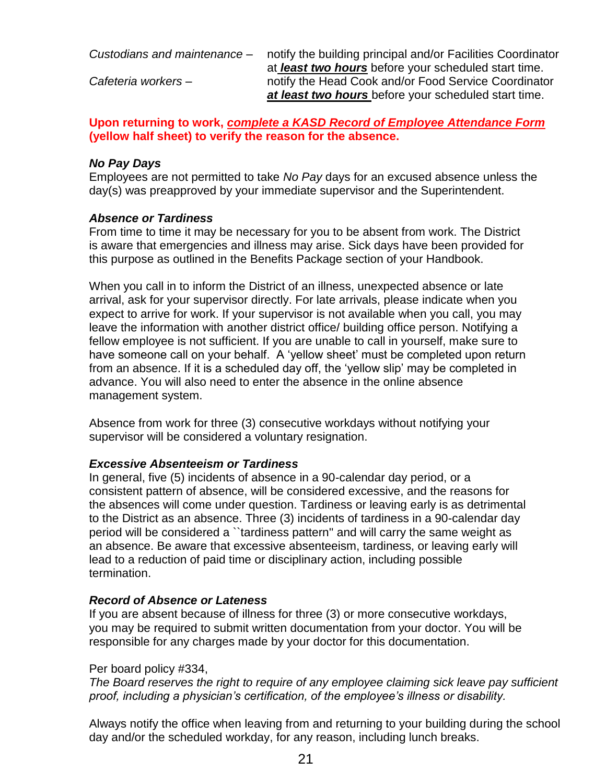*Custodians and maintenance* – notify the building principal and/or Facilities Coordinator

at *least two hours* before your scheduled start time. *Cafeteria workers* – notify the Head Cook and/or Food Service Coordinator *at least two hours* before your scheduled start time.

**Upon returning to work,** *complete a KASD Record of Employee Attendance Form* **(yellow half sheet) to verify the reason for the absence.** 

# *No Pay Days*

Employees are not permitted to take *No Pay* days for an excused absence unless the day(s) was preapproved by your immediate supervisor and the Superintendent.

# *Absence or Tardiness*

From time to time it may be necessary for you to be absent from work. The District is aware that emergencies and illness may arise. Sick days have been provided for this purpose as outlined in the Benefits Package section of your Handbook.

When you call in to inform the District of an illness, unexpected absence or late arrival, ask for your supervisor directly. For late arrivals, please indicate when you expect to arrive for work. If your supervisor is not available when you call, you may leave the information with another district office/ building office person. Notifying a fellow employee is not sufficient. If you are unable to call in yourself, make sure to have someone call on your behalf. A 'yellow sheet' must be completed upon return from an absence. If it is a scheduled day off, the 'yellow slip' may be completed in advance. You will also need to enter the absence in the online absence management system.

Absence from work for three (3) consecutive workdays without notifying your supervisor will be considered a voluntary resignation.

# *Excessive Absenteeism or Tardiness*

In general, five (5) incidents of absence in a 90-calendar day period, or a consistent pattern of absence, will be considered excessive, and the reasons for the absences will come under question. Tardiness or leaving early is as detrimental to the District as an absence. Three (3) incidents of tardiness in a 90-calendar day period will be considered a ``tardiness pattern'' and will carry the same weight as an absence. Be aware that excessive absenteeism, tardiness, or leaving early will lead to a reduction of paid time or disciplinary action, including possible termination.

# *Record of Absence or Lateness*

If you are absent because of illness for three (3) or more consecutive workdays, you may be required to submit written documentation from your doctor. You will be responsible for any charges made by your doctor for this documentation.

### Per board policy #334,

*The Board reserves the right to require of any employee claiming sick leave pay sufficient proof, including a physician's certification, of the employee's illness or disability.* 

Always notify the office when leaving from and returning to your building during the school day and/or the scheduled workday, for any reason, including lunch breaks.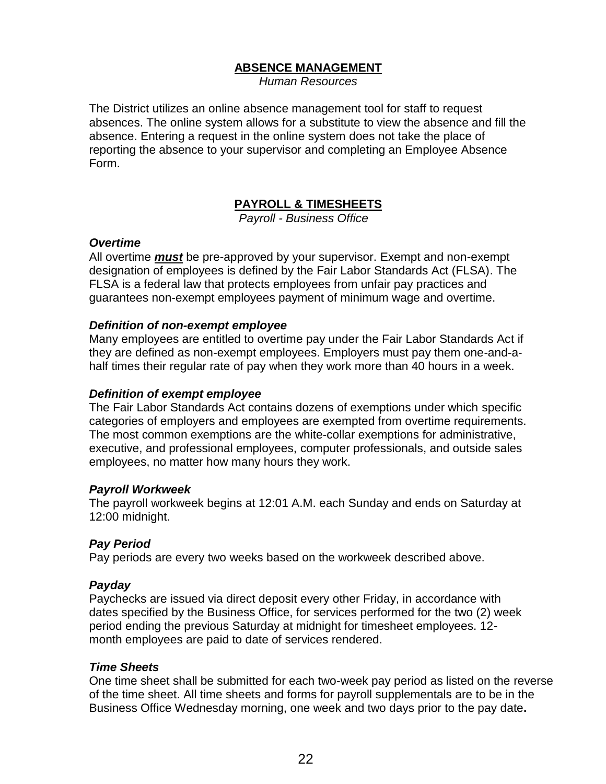## **ABSENCE MANAGEMENT**

*Human Resources*

The District utilizes an online absence management tool for staff to request absences. The online system allows for a substitute to view the absence and fill the absence. Entering a request in the online system does not take the place of reporting the absence to your supervisor and completing an Employee Absence Form.

# **PAYROLL & TIMESHEETS**

 *Payroll - Business Office*

#### *Overtime*

All overtime *must* be pre-approved by your supervisor. Exempt and non-exempt designation of employees is defined by the Fair Labor Standards Act (FLSA). The FLSA is a federal law that protects employees from unfair pay practices and guarantees non-exempt employees payment of minimum wage and overtime.

#### *Definition of non-exempt employee*

Many employees are entitled to overtime pay under the Fair Labor Standards Act if they are defined as non-exempt employees. Employers must pay them one-and-ahalf times their regular rate of pay when they work more than 40 hours in a week.

#### *Definition of exempt employee*

The Fair Labor Standards Act contains dozens of exemptions under which specific categories of employers and employees are exempted from overtime requirements. The most common exemptions are the [white-collar exemptions](http://topics.hrhero.com/overtime-pay-labor-laws) for administrative, executive, and professional employees, computer professionals, and outside sales employees, no matter how many hours they work.

#### *Payroll Workweek*

The payroll workweek begins at 12:01 A.M. each Sunday and ends on Saturday at 12:00 midnight.

#### *Pay Period*

Pay periods are every two weeks based on the workweek described above.

#### *Payday*

Paychecks are issued via direct deposit every other Friday, in accordance with dates specified by the Business Office, for services performed for the two (2) week period ending the previous Saturday at midnight for timesheet employees. 12 month employees are paid to date of services rendered.

#### *Time Sheets*

One time sheet shall be submitted for each two-week pay period as listed on the reverse of the time sheet. All time sheets and forms for payroll supplementals are to be in the Business Office Wednesday morning, one week and two days prior to the pay date**.**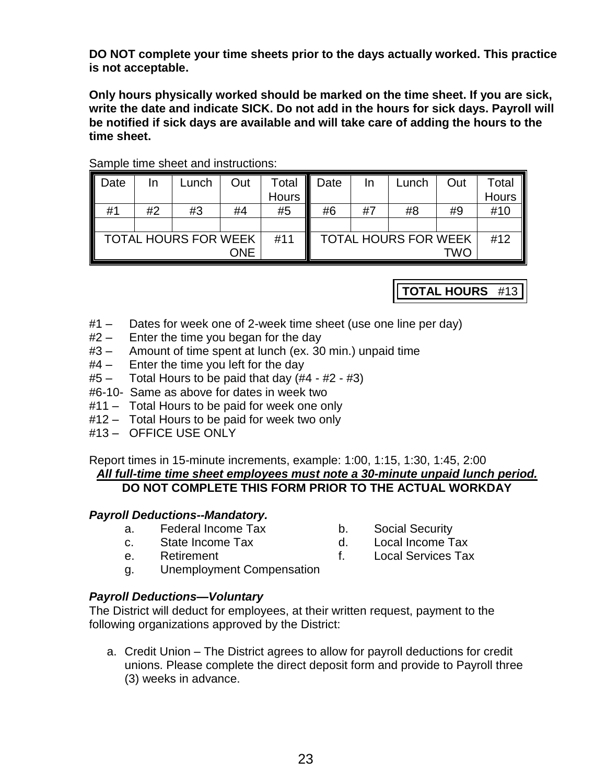**DO NOT complete your time sheets prior to the days actually worked. This practice is not acceptable.**

**Only hours physically worked should be marked on the time sheet. If you are sick, write the date and indicate SICK. Do not add in the hours for sick days. Payroll will be notified if sick days are available and will take care of adding the hours to the time sheet.**

| Date                               | In | Lunch | Out | Total                       | Date | In | Lunch | Out | Total |
|------------------------------------|----|-------|-----|-----------------------------|------|----|-------|-----|-------|
|                                    |    |       |     | <b>Hours</b>                |      |    |       |     | Hours |
| #1                                 | #2 | #3    | #4  | #5                          | #6   | #7 | #8    | #9  | #10   |
|                                    |    |       |     |                             |      |    |       |     |       |
| <b>TOTAL HOURS FOR WEEK</b><br>#11 |    |       |     | <b>TOTAL HOURS FOR WEEK</b> |      |    |       | #12 |       |
| <b>ONE</b>                         |    |       |     |                             |      |    |       | TWO |       |

## Sample time sheet and instructions:

**TOTAL HOURS** #13

- #1 Dates for week one of 2-week time sheet (use one line per day)
- #2 Enter the time you began for the day
- #3 Amount of time spent at lunch (ex. 30 min.) unpaid time
- #4 Enter the time you left for the day
- $#5 -$  Total Hours to be paid that day  $(H4 #2 #3)$
- #6-10- Same as above for dates in week two
- #11 Total Hours to be paid for week one only
- #12 Total Hours to be paid for week two only
- #13 OFFICE USE ONLY

Report times in 15-minute increments, example: 1:00, 1:15, 1:30, 1:45, 2:00 *All full-time time sheet employees must note a 30-minute unpaid lunch period.* **DO NOT COMPLETE THIS FORM PRIOR TO THE ACTUAL WORKDAY**

### *Payroll Deductions--Mandatory.*

- a. Federal Income Tax b. Social Security
- c. State Income Tax d. Local Income Tax
- -
- 
- e. Retirement f. Local Services Tax
- g. Unemployment Compensation

### *Payroll Deductions—Voluntary*

The District will deduct for employees, at their written request, payment to the following organizations approved by the District:

a. Credit Union – The District agrees to allow for payroll deductions for credit unions. Please complete the direct deposit form and provide to Payroll three (3) weeks in advance.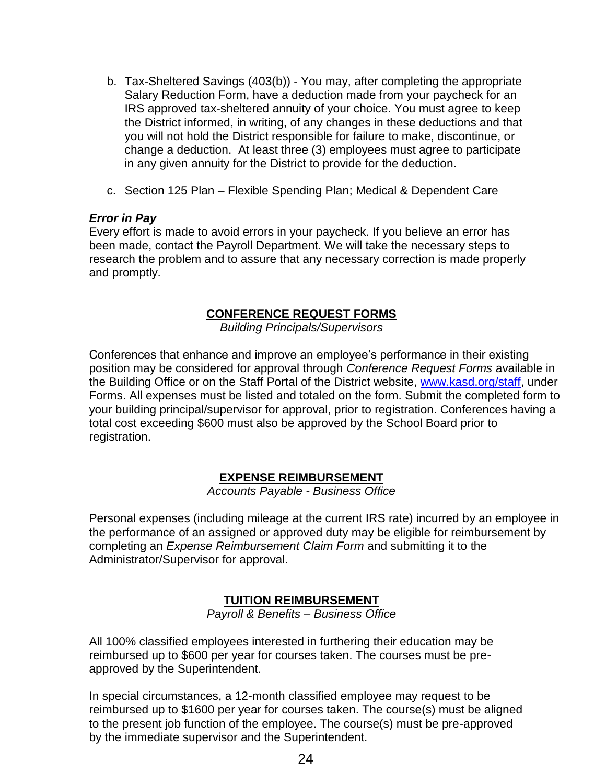- b. Tax-Sheltered Savings (403(b)) You may, after completing the appropriate Salary Reduction Form, have a deduction made from your paycheck for an IRS approved tax-sheltered annuity of your choice. You must agree to keep the District informed, in writing, of any changes in these deductions and that you will not hold the District responsible for failure to make, discontinue, or change a deduction. At least three (3) employees must agree to participate in any given annuity for the District to provide for the deduction.
- c. Section 125 Plan Flexible Spending Plan; Medical & Dependent Care

#### *Error in Pay*

Every effort is made to avoid errors in your paycheck. If you believe an error has been made, contact the Payroll Department. We will take the necessary steps to research the problem and to assure that any necessary correction is made properly and promptly.

### **CONFERENCE REQUEST FORMS**

*Building Principals/Supervisors*

Conferences that enhance and improve an employee's performance in their existing position may be considered for approval through *Conference Request Forms* available in the Building Office or on the Staff Portal of the District website, [www.kasd.org/staff,](http://www.kasd.org/staff) under Forms. All expenses must be listed and totaled on the form. Submit the completed form to your building principal/supervisor for approval, prior to registration. Conferences having a total cost exceeding \$600 must also be approved by the School Board prior to registration.

# **EXPENSE REIMBURSEMENT**

*Accounts Payable - Business Office*

Personal expenses (including mileage at the current IRS rate) incurred by an employee in the performance of an assigned or approved duty may be eligible for reimbursement by completing an *Expense Reimbursement Claim Form* and submitting it to the Administrator/Supervisor for approval.

### **TUITION REIMBURSEMENT**

*Payroll & Benefits – Business Office*

All 100% classified employees interested in furthering their education may be reimbursed up to \$600 per year for courses taken. The courses must be preapproved by the Superintendent.

In special circumstances, a 12-month classified employee may request to be reimbursed up to \$1600 per year for courses taken. The course(s) must be aligned to the present job function of the employee. The course(s) must be pre-approved by the immediate supervisor and the Superintendent.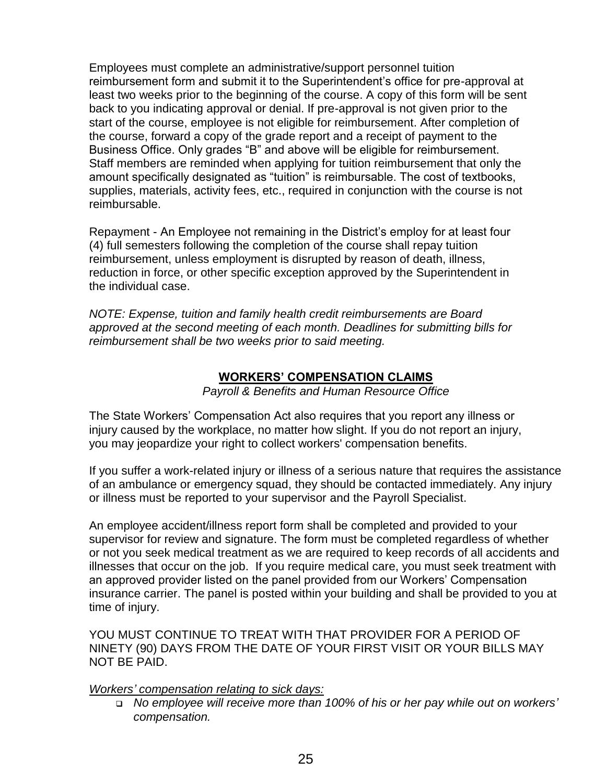Employees must complete an administrative/support personnel tuition reimbursement form and submit it to the Superintendent's office for pre-approval at least two weeks prior to the beginning of the course. A copy of this form will be sent back to you indicating approval or denial. If pre-approval is not given prior to the start of the course, employee is not eligible for reimbursement. After completion of the course, forward a copy of the grade report and a receipt of payment to the Business Office. Only grades "B" and above will be eligible for reimbursement. Staff members are reminded when applying for tuition reimbursement that only the amount specifically designated as "tuition" is reimbursable. The cost of textbooks, supplies, materials, activity fees, etc., required in conjunction with the course is not reimbursable.

Repayment - An Employee not remaining in the District's employ for at least four (4) full semesters following the completion of the course shall repay tuition reimbursement, unless employment is disrupted by reason of death, illness, reduction in force, or other specific exception approved by the Superintendent in the individual case.

*NOTE: Expense, tuition and family health credit reimbursements are Board approved at the second meeting of each month. Deadlines for submitting bills for reimbursement shall be two weeks prior to said meeting.* 

# **WORKERS' COMPENSATION CLAIMS**

*Payroll & Benefits and Human Resource Office*

The State Workers' Compensation Act also requires that you report any illness or injury caused by the workplace, no matter how slight. If you do not report an injury, you may jeopardize your right to collect workers' compensation benefits.

If you suffer a work-related injury or illness of a serious nature that requires the assistance of an ambulance or emergency squad, they should be contacted immediately. Any injury or illness must be reported to your supervisor and the Payroll Specialist.

An employee accident/illness report form shall be completed and provided to your supervisor for review and signature. The form must be completed regardless of whether or not you seek medical treatment as we are required to keep records of all accidents and illnesses that occur on the job. If you require medical care, you must seek treatment with an approved provider listed on the panel provided from our Workers' Compensation insurance carrier. The panel is posted within your building and shall be provided to you at time of injury.

YOU MUST CONTINUE TO TREAT WITH THAT PROVIDER FOR A PERIOD OF NINETY (90) DAYS FROM THE DATE OF YOUR FIRST VISIT OR YOUR BILLS MAY NOT BE PAID.

*Workers' compensation relating to sick days:*

 *No employee will receive more than 100% of his or her pay while out on workers' compensation.*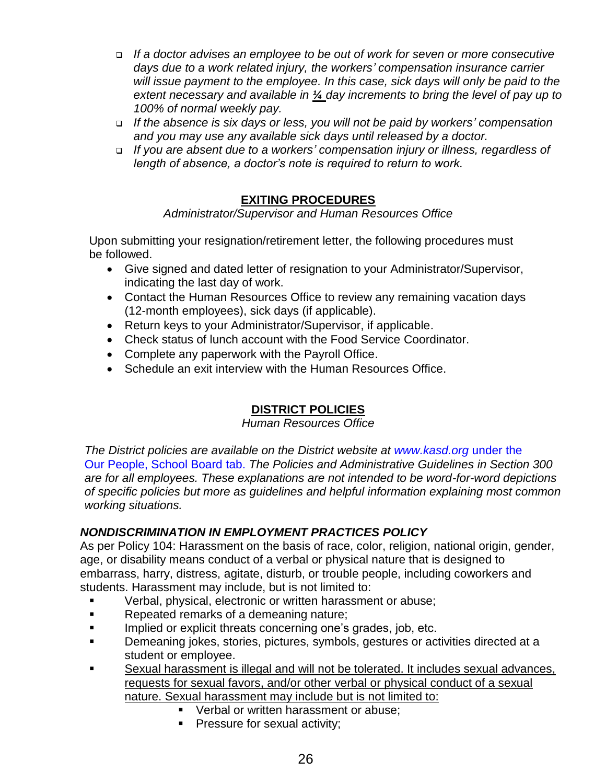- *If a doctor advises an employee to be out of work for seven or more consecutive days due to a work related injury, the workers' compensation insurance carrier*  will issue payment to the employee. In this case, sick days will only be paid to the *extent necessary and available in ¼ day increments to bring the level of pay up to 100% of normal weekly pay.*
- *If the absence is six days or less, you will not be paid by workers' compensation and you may use any available sick days until released by a doctor.*
- *If you are absent due to a workers' compensation injury or illness, regardless of length of absence, a doctor's note is required to return to work.*

# **EXITING PROCEDURES**

# *Administrator/Supervisor and Human Resources Office*

Upon submitting your resignation/retirement letter, the following procedures must be followed.

- Give signed and dated letter of resignation to your Administrator/Supervisor, indicating the last day of work.
- Contact the Human Resources Office to review any remaining vacation days (12-month employees), sick days (if applicable).
- Return keys to your Administrator/Supervisor, if applicable.
- Check status of lunch account with the Food Service Coordinator.
- Complete any paperwork with the Payroll Office.
- Schedule an exit interview with the Human Resources Office.

# **DISTRICT POLICIES**

### *Human Resources Office*

*The District policies are available on the District website at [www.kasd.org](http://www.kasd.org/)* under the Our People, School Board tab. *The Policies and Administrative Guidelines in Section 300 are for all employees. These explanations are not intended to be word-for-word depictions of specific policies but more as guidelines and helpful information explaining most common working situations.*

# *NONDISCRIMINATION IN EMPLOYMENT PRACTICES POLICY*

As per Policy 104: Harassment on the basis of race, color, religion, national origin, gender, age, or disability means conduct of a verbal or physical nature that is designed to embarrass, harry, distress, agitate, disturb, or trouble people, including coworkers and students. Harassment may include, but is not limited to:

- Verbal, physical, electronic or written harassment or abuse;
- Repeated remarks of a demeaning nature;
- **■** Implied or explicit threats concerning one's grades, job, etc.
- Demeaning jokes, stories, pictures, symbols, gestures or activities directed at a student or employee.
- Sexual harassment is illegal and will not be tolerated. It includes sexual advances, requests for sexual favors, and/or other verbal or physical conduct of a sexual nature. Sexual harassment may include but is not limited to:
	- Verbal or written harassment or abuse:
	- **•** Pressure for sexual activity;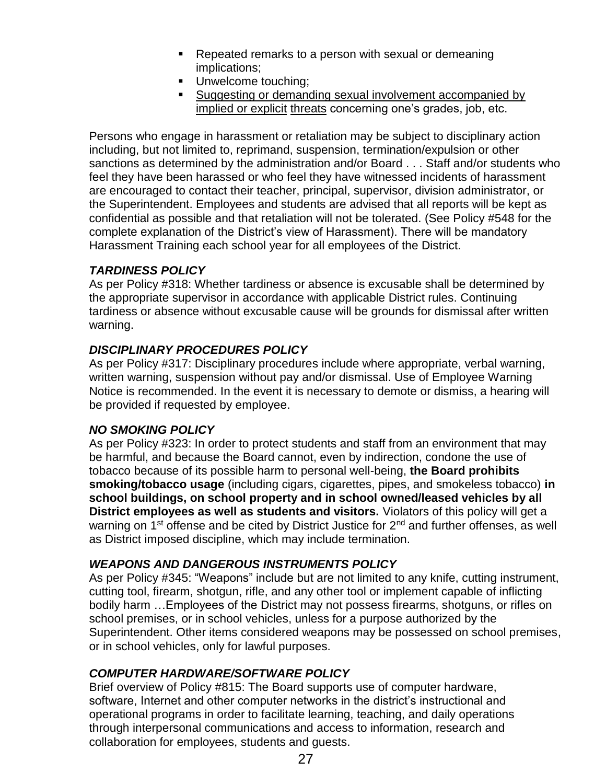- Repeated remarks to a person with sexual or demeaning implications;
- **■** Unwelcome touching;
- Suggesting or demanding sexual involvement accompanied by implied or explicit threats concerning one's grades, job, etc.

Persons who engage in harassment or retaliation may be subject to disciplinary action including, but not limited to, reprimand, suspension, termination/expulsion or other sanctions as determined by the administration and/or Board . . . Staff and/or students who feel they have been harassed or who feel they have witnessed incidents of harassment are encouraged to contact their teacher, principal, supervisor, division administrator, or the Superintendent. Employees and students are advised that all reports will be kept as confidential as possible and that retaliation will not be tolerated. (See Policy #548 for the complete explanation of the District's view of Harassment). There will be mandatory Harassment Training each school year for all employees of the District.

# *TARDINESS POLICY*

As per Policy #318: Whether tardiness or absence is excusable shall be determined by the appropriate supervisor in accordance with applicable District rules. Continuing tardiness or absence without excusable cause will be grounds for dismissal after written warning.

# *DISCIPLINARY PROCEDURES POLICY*

As per Policy #317: Disciplinary procedures include where appropriate, verbal warning, written warning, suspension without pay and/or dismissal. Use of Employee Warning Notice is recommended. In the event it is necessary to demote or dismiss, a hearing will be provided if requested by employee.

# *NO SMOKING POLICY*

As per Policy #323: In order to protect students and staff from an environment that may be harmful, and because the Board cannot, even by indirection, condone the use of tobacco because of its possible harm to personal well-being, **the Board prohibits smoking/tobacco usage** (including cigars, cigarettes, pipes, and smokeless tobacco) **in school buildings, on school property and in school owned/leased vehicles by all District employees as well as students and visitors.** Violators of this policy will get a warning on 1<sup>st</sup> offense and be cited by District Justice for 2<sup>nd</sup> and further offenses, as well as District imposed discipline, which may include termination.

# *WEAPONS AND DANGEROUS INSTRUMENTS POLICY*

As per Policy #345: "Weapons" include but are not limited to any knife, cutting instrument, cutting tool, firearm, shotgun, rifle, and any other tool or implement capable of inflicting bodily harm …Employees of the District may not possess firearms, shotguns, or rifles on school premises, or in school vehicles, unless for a purpose authorized by the Superintendent. Other items considered weapons may be possessed on school premises, or in school vehicles, only for lawful purposes.

# *COMPUTER HARDWARE/SOFTWARE POLICY*

Brief overview of Policy #815: The Board supports use of computer hardware, software, Internet and other computer networks in the district's instructional and operational programs in order to facilitate learning, teaching, and daily operations through interpersonal communications and access to information, research and collaboration for employees, students and guests.